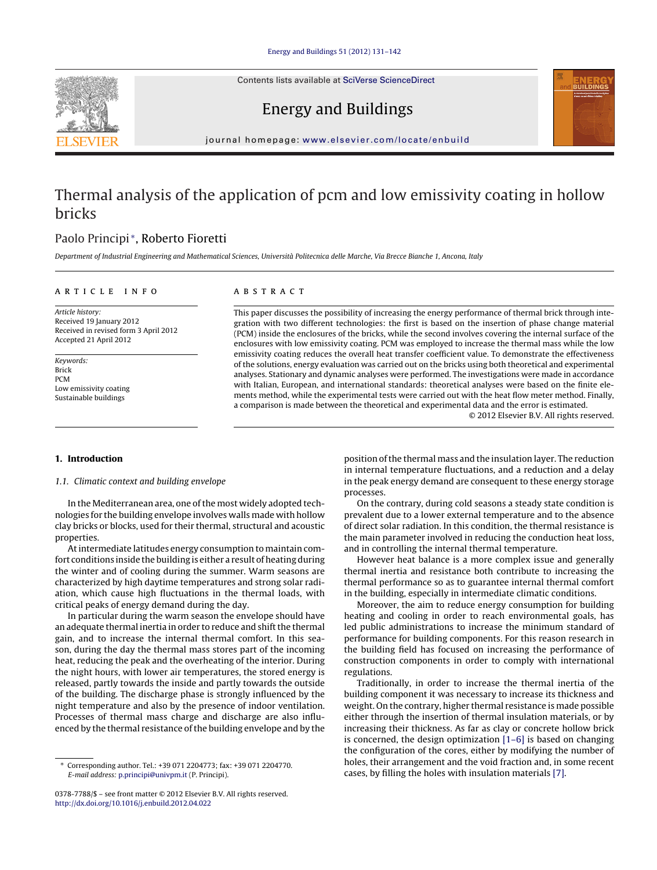Contents lists available at SciVerse [ScienceDirect](http://www.sciencedirect.com/science/journal/03787788)





### Energy and Buildings

iournal homepage: [www.elsevier.com/locate/enbuild](http://www.elsevier.com/locate/enbuild)

## Thermal analysis of the application of pcm and low emissivity coating in hollow bricks

### Paolo Principi <sup>∗</sup>, Roberto Fioretti

Department of Industrial Engineering and Mathematical Sciences, Università Politecnica delle Marche, Via Brecce Bianche 1, Ancona, Italy

#### a r t i c l e i n f o

Article history: Received 19 January 2012 Received in revised form 3 April 2012 Accepted 21 April 2012

Keywords: Brick PCM Low emissivity coating Sustainable buildings

# A B S T R A C T

This paper discusses the possibility of increasing the energy performance of thermal brick through integration with two different technologies: the first is based on the insertion of phase change material (PCM) inside the enclosures of the bricks, while the second involves covering the internal surface of the enclosures with low emissivity coating. PCM was employed to increase the thermal mass while the low emissivity coating reduces the overall heat transfer coefficient value. To demonstrate the effectiveness of the solutions, energy evaluation was carried out on the bricks using both theoretical and experimental analyses. Stationary and dynamic analyses were performed. The investigations were made in accordance with Italian, European, and international standards: theoretical analyses were based on the finite elements method, while the experimental tests were carried out with the heat flow meter method. Finally, a comparison is made between the theoretical and experimental data and the error is estimated.

© 2012 Elsevier B.V. All rights reserved.

#### **1. Introduction**

#### 1.1. Climatic context and building envelope

In the Mediterranean area, one of the most widely adopted technologies for the building envelope involves walls made with hollow clay bricks or blocks, used for their thermal, structural and acoustic properties.

Atintermediate latitudes energy consumption to maintain comfort conditions inside the building is either a result of heating during the winter and of cooling during the summer. Warm seasons are characterized by high daytime temperatures and strong solar radiation, which cause high fluctuations in the thermal loads, with critical peaks of energy demand during the day.

In particular during the warm season the envelope should have an adequate thermal inertia in order to reduce and shift the thermal gain, and to increase the internal thermal comfort. In this season, during the day the thermal mass stores part of the incoming heat, reducing the peak and the overheating of the interior. During the night hours, with lower air temperatures, the stored energy is released, partly towards the inside and partly towards the outside of the building. The discharge phase is strongly influenced by the night temperature and also by the presence of indoor ventilation. Processes of thermal mass charge and discharge are also influenced by the thermal resistance ofthe building envelope and by the

position ofthe thermal mass and the insulation layer. The reduction in internal temperature fluctuations, and a reduction and a delay in the peak energy demand are consequent to these energy storage processes.

On the contrary, during cold seasons a steady state condition is prevalent due to a lower external temperature and to the absence of direct solar radiation. In this condition, the thermal resistance is the main parameter involved in reducing the conduction heat loss, and in controlling the internal thermal temperature.

However heat balance is a more complex issue and generally thermal inertia and resistance both contribute to increasing the thermal performance so as to guarantee internal thermal comfort in the building, especially in intermediate climatic conditions.

Moreover, the aim to reduce energy consumption for building heating and cooling in order to reach environmental goals, has led public administrations to increase the minimum standard of performance for building components. For this reason research in the building field has focused on increasing the performance of construction components in order to comply with international regulations.

Traditionally, in order to increase the thermal inertia of the building component it was necessary to increase its thickness and weight. On the contrary, higher thermal resistance is made possible either through the insertion of thermal insulation materials, or by increasing their thickness. As far as clay or concrete hollow brick is concerned, the design optimization [\[1–6\]](#page--1-0) is based on changing the configuration of the cores, either by modifying the number of holes, their arrangement and the void fraction and, in some recent cases, by filling the holes with insulation materials [\[7\].](#page--1-0)

<sup>∗</sup> Corresponding author. Tel.: +39 071 2204773; fax: +39 071 2204770. E-mail address: [p.principi@univpm.it](mailto:p.principi@univpm.it) (P. Principi).

<sup>0378-7788/\$</sup> – see front matter © 2012 Elsevier B.V. All rights reserved. [http://dx.doi.org/10.1016/j.enbuild.2012.04.022](dx.doi.org/10.1016/j.enbuild.2012.04.022)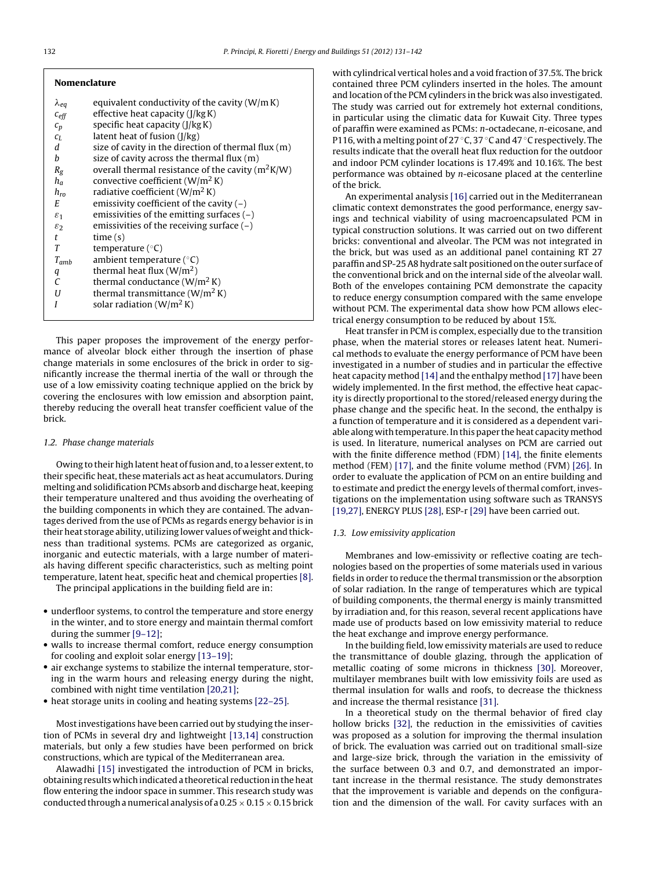| <b>Nomenclature</b> |                                                       |
|---------------------|-------------------------------------------------------|
| $\lambda_{eq}$      | equivalent conductivity of the cavity $(W/m K)$       |
| $c_{\text{eff}}$    | effective heat capacity (J/kg K)                      |
| $\sqrt{c_p}$        | specific heat capacity $(J/kg K)$                     |
| $C_{L}$             | latent heat of fusion $(I/kg)$                        |
| d                   | size of cavity in the direction of thermal flux $(m)$ |
| h                   | size of cavity across the thermal flux $(m)$          |
| $R_{\rm g}$         | overall thermal resistance of the cavity ( $m^2K/W$ ) |
| $h_a$               | convective coefficient ( $W/m^2 K$ )                  |
| $h_{ro}$            | radiative coefficient ( $W/m^2 K$ )                   |
| E.                  | emissivity coefficient of the cavity $(-)$            |
| $\varepsilon_1$     | emissivities of the emitting surfaces $(-)$           |
| $\varepsilon_2$     | emissivities of the receiving surface $(-)$           |
| t                   | time(s)                                               |
| T                   | temperature $(^{\circ}C)$                             |
| $T_{amb}$           | ambient temperature $(°C)$                            |
| q                   | thermal heat flux $(W/m2)$                            |
| C                   | thermal conductance $(W/m^2 K)$                       |
| U                   | thermal transmittance $(W/m2 K)$                      |
| I                   | solar radiation $(W/m^2 K)$                           |
|                     |                                                       |

This paper proposes the improvement of the energy performance of alveolar block either through the insertion of phase change materials in some enclosures of the brick in order to significantly increase the thermal inertia of the wall or through the use of a low emissivity coating technique applied on the brick by covering the enclosures with low emission and absorption paint, thereby reducing the overall heat transfer coefficient value of the brick.

#### 1.2. Phase change materials

Owing to their high latent heat of fusion and, to a lesser extent, to their specific heat, these materials act as heat accumulators. During melting and solidification PCMs absorb and discharge heat, keeping their temperature unaltered and thus avoiding the overheating of the building components in which they are contained. The advantages derived from the use of PCMs as regards energy behavior is in their heat storage ability, utilizing lower values of weight and thickness than traditional systems. PCMs are categorized as organic, inorganic and eutectic materials, with a large number of materials having different specific characteristics, such as melting point temperature, latent heat, specific heat and chemical properties [\[8\].](#page--1-0)

The principal applications in the building field are in:

- underfloor systems, to control the temperature and store energy in the winter, and to store energy and maintain thermal comfort during the summer [\[9–12\];](#page--1-0)
- walls to increase thermal comfort, reduce energy consumption for cooling and exploit solar energy [\[13–19\];](#page--1-0)
- air exchange systems to stabilize the internal temperature, storing in the warm hours and releasing energy during the night, combined with night time ventilation [\[20,21\];](#page--1-0)
- heat storage units in cooling and heating systems [\[22–25\].](#page--1-0)

Mostinvestigations have been carried out by studying the insertion of PCMs in several dry and lightweight [\[13,14\]](#page--1-0) construction materials, but only a few studies have been performed on brick constructions, which are typical of the Mediterranean area.

Alawadhi [\[15\]](#page--1-0) investigated the introduction of PCM in bricks, obtaining results which indicated a theoretical reduction in the heat flow entering the indoor space in summer. This research study was conducted through a numerical analysis of a 0.25  $\times$  0.15  $\times$  0.15 brick with cylindrical vertical holes and a void fraction of 37.5%. The brick contained three PCM cylinders inserted in the holes. The amount and location of the PCM cylinders in the brick was also investigated. The study was carried out for extremely hot external conditions, in particular using the climatic data for Kuwait City. Three types of paraffin were examined as PCMs: n-octadecane, n-eicosane, and P116, with a melting point of 27 °C, 37 °C and 47 °C respectively. The results indicate that the overall heat flux reduction for the outdoor and indoor PCM cylinder locations is 17.49% and 10.16%. The best performance was obtained by n-eicosane placed at the centerline of the brick.

An experimental analysis [\[16\]](#page--1-0) carried out in the Mediterranean climatic context demonstrates the good performance, energy savings and technical viability of using macroencapsulated PCM in typical construction solutions. It was carried out on two different bricks: conventional and alveolar. The PCM was not integrated in the brick, but was used as an additional panel containing RT 27 paraffinand SP-25A8 hydrate salt positioned on the outer surface of the conventional brick and on the internal side of the alveolar wall. Both of the envelopes containing PCM demonstrate the capacity to reduce energy consumption compared with the same envelope without PCM. The experimental data show how PCM allows electrical energy consumption to be reduced by about 15%.

Heat transfer in PCM is complex, especially due to the transition phase, when the material stores or releases latent heat. Numerical methods to evaluate the energy performance of PCM have been investigated in a number of studies and in particular the effective heat capacity method [\[14\]](#page--1-0) and the enthalpy method [\[17\]](#page--1-0) have been widely implemented. In the first method, the effective heat capacity is directly proportional to the stored/released energy during the phase change and the specific heat. In the second, the enthalpy is a function of temperature and it is considered as a dependent variable along with temperature. In this paper the heat capacity method is used. In literature, numerical analyses on PCM are carried out with the finite difference method (FDM) [\[14\],](#page--1-0) the finite elements method (FEM) [\[17\],](#page--1-0) and the finite volume method (FVM) [\[26\].](#page--1-0) In order to evaluate the application of PCM on an entire building and to estimate and predict the energy levels of thermal comfort, investigations on the implementation using software such as TRANSYS [\[19,27\],](#page--1-0) ENERGY PLUS [\[28\],](#page--1-0) ESP-r [\[29\]](#page--1-0) have been carried out.

#### 1.3. Low emissivity application

Membranes and low-emissivity or reflective coating are technologies based on the properties of some materials used in various fields in order to reduce the thermal transmission or the absorption of solar radiation. In the range of temperatures which are typical of building components, the thermal energy is mainly transmitted by irradiation and, for this reason, several recent applications have made use of products based on low emissivity material to reduce the heat exchange and improve energy performance.

In the building field, low emissivity materials are used to reduce the transmittance of double glazing, through the application of metallic coating of some microns in thickness [\[30\].](#page--1-0) Moreover, multilayer membranes built with low emissivity foils are used as thermal insulation for walls and roofs, to decrease the thickness and increase the thermal resistance [\[31\].](#page--1-0)

In a theoretical study on the thermal behavior of fired clay hollow bricks [\[32\],](#page--1-0) the reduction in the emissivities of cavities was proposed as a solution for improving the thermal insulation of brick. The evaluation was carried out on traditional small-size and large-size brick, through the variation in the emissivity of the surface between 0.3 and 0.7, and demonstrated an important increase in the thermal resistance. The study demonstrates that the improvement is variable and depends on the configuration and the dimension of the wall. For cavity surfaces with an